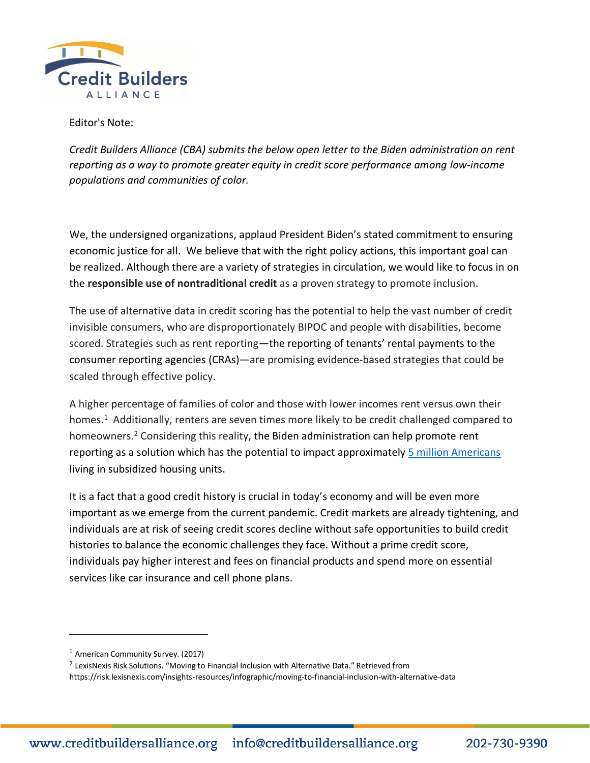

Editor's Note:

*Credit Builders Alliance (CBA) submits the below open letter to the Biden administration on rent reporting as a way to promote greater equity in credit score performance among low-income populations and communities of color.*

We, the undersigned organizations, applaud President Biden's stated commitment to ensuring economic justice for all. We believe that with the right policy actions, this important goal can be realized. Although there are a variety of strategies in circulation, we would like to focus in on the **responsible use of nontraditional credit** as a proven strategy to promote inclusion.

The use of alternative data in credit scoring has the potential to help the vast number of credit invisible consumers, who are disproportionately BIPOC and people with disabilities, become scored. Strategies such as rent reporting—the reporting of tenants' rental payments to the consumer reporting agencies (CRAs)—are promising evidence-based strategies that could be scaled through effective policy.

A higher percentage of families of color and those with lower incomes rent versus own their homes.<sup>1</sup> Additionally, renters are seven times more likely to be credit challenged compared to homeowners.<sup>2</sup> Considering this reality, the Biden administration can help promote rent reporting as a solution which has the potential to impact approximately [5 million Americans](https://www.huduser.gov/portal/datasets/assthsg/statedata98/descript.html#:~:text=Number%20of%20Housing%20Units,are%20in%20Public%20Housing%20projects.) living in subsidized housing units.

It is a fact that a good credit history is crucial in today's economy and will be even more important as we emerge from the current pandemic. Credit markets are already tightening, and individuals are at risk of seeing credit scores decline without safe opportunities to build credit histories to balance the economic challenges they face. Without a prime credit score, individuals pay higher interest and fees on financial products and spend more on essential services like car insurance and cell phone plans.

 $1$  American Community Survey. (2017)

<sup>&</sup>lt;sup>2</sup> LexisNexis Risk Solutions. "Moving to Financial Inclusion with Alternative Data." Retrieved from https://risk.lexisnexis.com/insights-resources/infographic/moving-to-financial-inclusion-with-alternative-data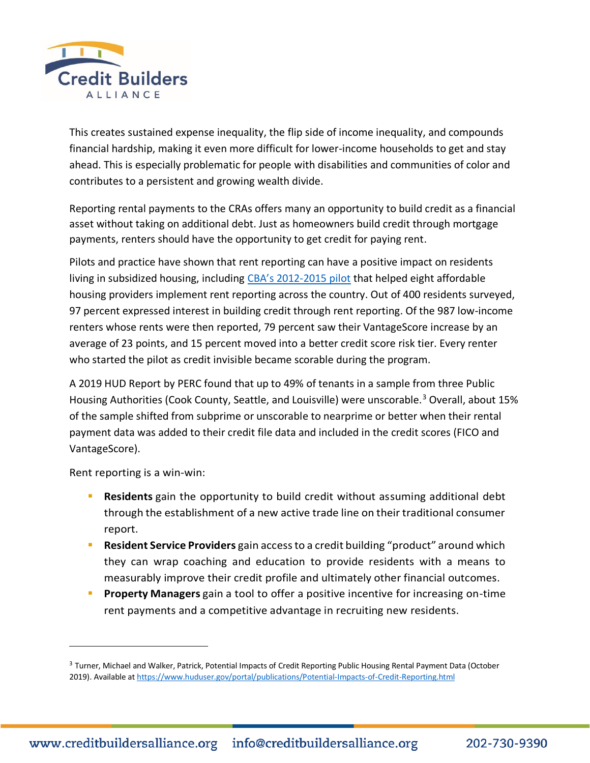

This creates sustained expense inequality, the flip side of income inequality, and compounds financial hardship, making it even more difficult for lower-income households to get and stay ahead. This is especially problematic for people with disabilities and communities of color and contributes to a persistent and growing wealth divide.

Reporting rental payments to the CRAs offers many an opportunity to build credit as a financial asset without taking on additional debt. Just as homeowners build credit through mortgage payments, renters should have the opportunity to get credit for paying rent.

Pilots and practice have shown that rent reporting can have a positive impact on residents living in subsidized housing, including CBA's 2012[-2015 pilot](https://creditbuildersalliance.org/wp-content/uploads/2019/06/CBA-Power-of-Rent-Reporting-Pilot-White-Paper.pdf) that helped eight affordable housing providers implement rent reporting across the country. Out of 400 residents surveyed, 97 percent expressed interest in building credit through rent reporting. Of the 987 low-income renters whose rents were then reported, 79 percent saw their VantageScore increase by an average of 23 points, and 15 percent moved into a better credit score risk tier. Every renter who started the pilot as credit invisible became scorable during the program.

A 2019 HUD Report by PERC found that up to 49% of tenants in a sample from three Public Housing Authorities (Cook County, Seattle, and Louisville) were unscorable.<sup>3</sup> Overall, about 15% of the sample shifted from subprime or unscorable to nearprime or better when their rental payment data was added to their credit file data and included in the credit scores (FICO and VantageScore).

Rent reporting is a win-win:

- **EXECT Residents** gain the opportunity to build credit without assuming additional debt through the establishment of a new active trade line on their traditional consumer report.
- **EXERENDIAT SERVICE Providers** gain access to a credit building "product" around which they can wrap coaching and education to provide residents with a means to measurably improve their credit profile and ultimately other financial outcomes.
- **Property Managers** gain a tool to offer a positive incentive for increasing on-time rent payments and a competitive advantage in recruiting new residents.

<sup>&</sup>lt;sup>3</sup> Turner, Michael and Walker, Patrick, Potential Impacts of Credit Reporting Public Housing Rental Payment Data (October 2019). Available a[t https://www.huduser.gov/portal/publications/Potential-Impacts-of-Credit-Reporting.html](https://www.huduser.gov/portal/publications/Potential-Impacts-of-Credit-Reporting.html)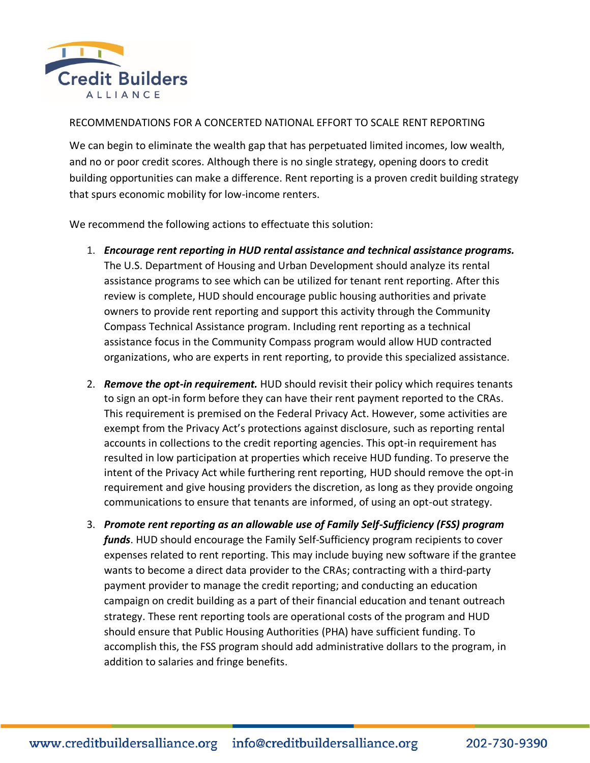

## RECOMMENDATIONS FOR A CONCERTED NATIONAL EFFORT TO SCALE RENT REPORTING

We can begin to eliminate the wealth gap that has perpetuated limited incomes, low wealth, and no or poor credit scores. Although there is no single strategy, opening doors to credit building opportunities can make a difference. Rent reporting is a proven credit building strategy that spurs economic mobility for low-income renters.

We recommend the following actions to effectuate this solution:

- 1. *Encourage rent reporting in HUD rental assistance and technical assistance programs.* The U.S. Department of Housing and Urban Development should analyze its rental assistance programs to see which can be utilized for tenant rent reporting. After this review is complete, HUD should encourage public housing authorities and private owners to provide rent reporting and support this activity through the Community Compass Technical Assistance program. Including rent reporting as a technical assistance focus in the Community Compass program would allow HUD contracted organizations, who are experts in rent reporting, to provide this specialized assistance.
- 2. *Remove the opt-in requirement.* HUD should revisit their policy which requires tenants to sign an opt-in form before they can have their rent payment reported to the CRAs. This requirement is premised on the Federal Privacy Act. However, some activities are exempt from the Privacy Act's protections against disclosure, such as reporting rental accounts in collections to the credit reporting agencies. This opt-in requirement has resulted in low participation at properties which receive HUD funding. To preserve the intent of the Privacy Act while furthering rent reporting, HUD should remove the opt-in requirement and give housing providers the discretion, as long as they provide ongoing communications to ensure that tenants are informed, of using an opt-out strategy.
- 3. *Promote rent reporting as an allowable use of Family Self-Sufficiency (FSS) program funds*. HUD should encourage the Family Self-Sufficiency program recipients to cover expenses related to rent reporting. This may include buying new software if the grantee wants to become a direct data provider to the CRAs; contracting with a third-party payment provider to manage the credit reporting; and conducting an education campaign on credit building as a part of their financial education and tenant outreach strategy. These rent reporting tools are operational costs of the program and HUD should ensure that Public Housing Authorities (PHA) have sufficient funding. To accomplish this, the FSS program should add administrative dollars to the program, in addition to salaries and fringe benefits.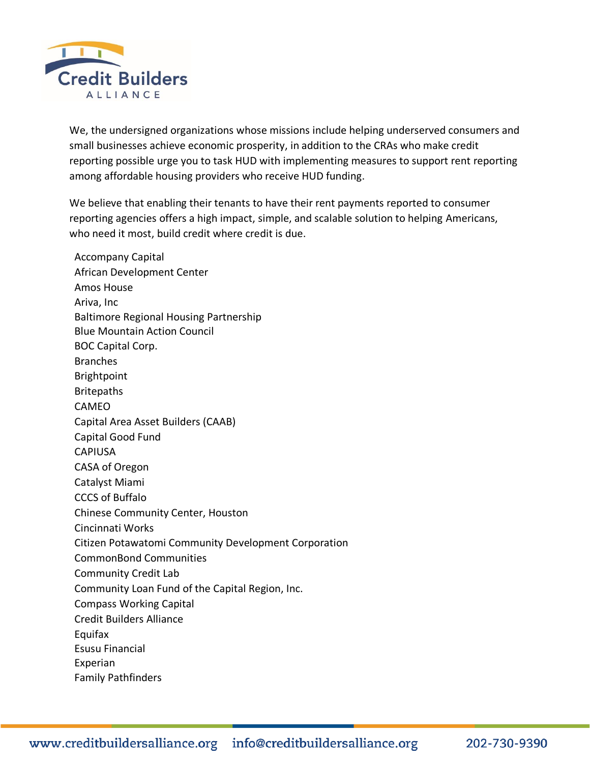

We, the undersigned organizations whose missions include helping underserved consumers and small businesses achieve economic prosperity, in addition to the CRAs who make credit reporting possible urge you to task HUD with implementing measures to support rent reporting among affordable housing providers who receive HUD funding.

We believe that enabling their tenants to have their rent payments reported to consumer reporting agencies offers a high impact, simple, and scalable solution to helping Americans, who need it most, build credit where credit is due.

Accompany Capital African Development Center Amos House Ariva, Inc Baltimore Regional Housing Partnership Blue Mountain Action Council BOC Capital Corp. Branches Brightpoint Britepaths CAMEO Capital Area Asset Builders (CAAB) Capital Good Fund CAPIUSA CASA of Oregon Catalyst Miami CCCS of Buffalo Chinese Community Center, Houston Cincinnati Works Citizen Potawatomi Community Development Corporation CommonBond Communities Community Credit Lab Community Loan Fund of the Capital Region, Inc. Compass Working Capital Credit Builders Alliance Equifax Esusu Financial Experian Family Pathfinders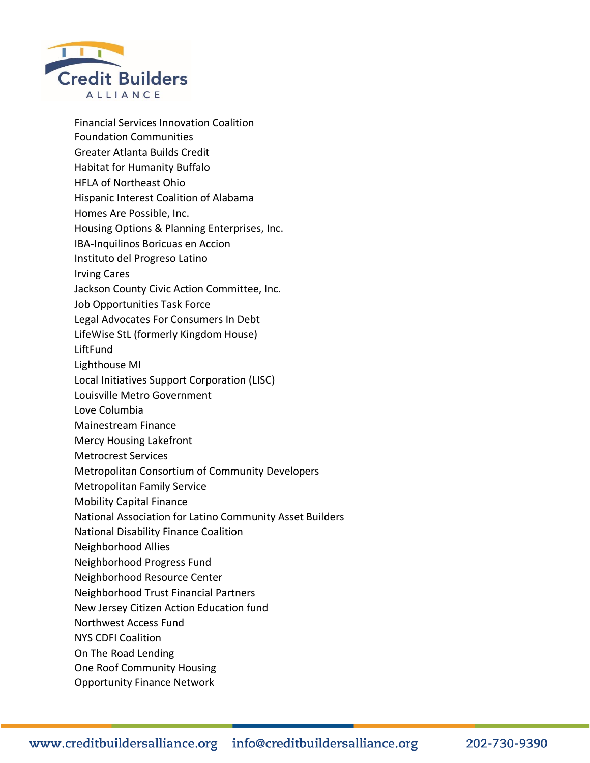

Financial Services Innovation Coalition Foundation Communities Greater Atlanta Builds Credit Habitat for Humanity Buffalo HFLA of Northeast Ohio Hispanic Interest Coalition of Alabama Homes Are Possible, Inc. Housing Options & Planning Enterprises, Inc. IBA-Inquilinos Boricuas en Accion Instituto del Progreso Latino Irving Cares Jackson County Civic Action Committee, Inc. Job Opportunities Task Force Legal Advocates For Consumers In Debt LifeWise StL (formerly Kingdom House) LiftFund Lighthouse MI Local Initiatives Support Corporation (LISC) Louisville Metro Government Love Columbia Mainestream Finance Mercy Housing Lakefront Metrocrest Services Metropolitan Consortium of Community Developers Metropolitan Family Service Mobility Capital Finance National Association for Latino Community Asset Builders National Disability Finance Coalition Neighborhood Allies Neighborhood Progress Fund Neighborhood Resource Center Neighborhood Trust Financial Partners New Jersey Citizen Action Education fund Northwest Access Fund NYS CDFI Coalition On The Road Lending One Roof Community Housing Opportunity Finance Network